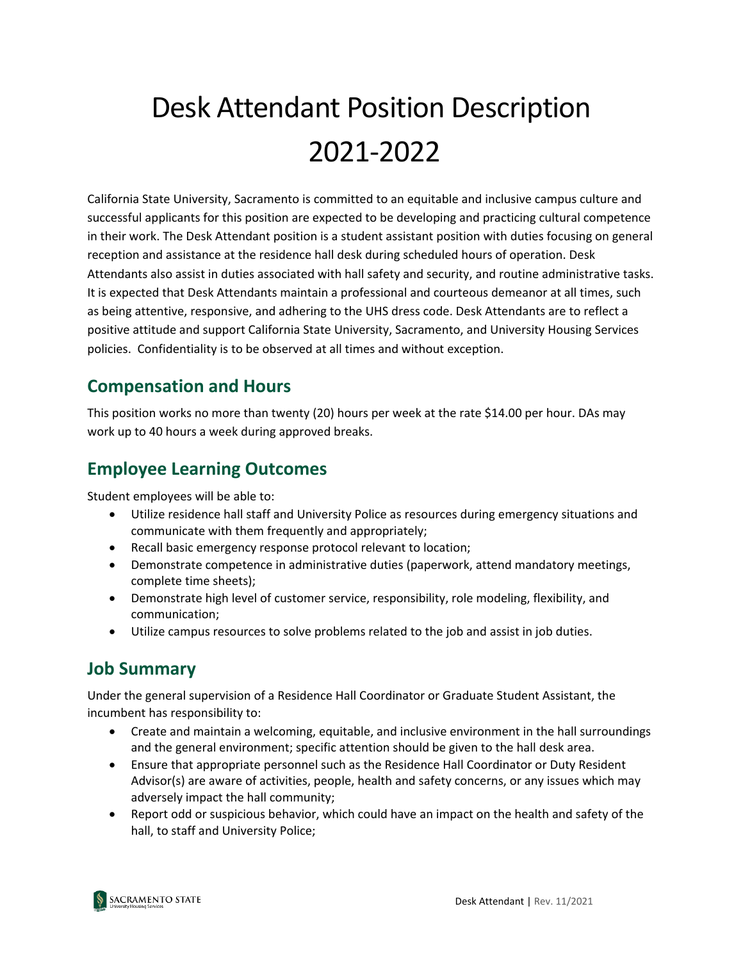# Desk Attendant Position Description 2021-2022

California State University, Sacramento is committed to an equitable and inclusive campus culture and successful applicants for this position are expected to be developing and practicing cultural competence in their work. The Desk Attendant position is a student assistant position with duties focusing on general reception and assistance at the residence hall desk during scheduled hours of operation. Desk Attendants also assist in duties associated with hall safety and security, and routine administrative tasks. It is expected that Desk Attendants maintain a professional and courteous demeanor at all times, such as being attentive, responsive, and adhering to the UHS dress code. Desk Attendants are to reflect a positive attitude and support California State University, Sacramento, and University Housing Services policies. Confidentiality is to be observed at all times and without exception.

#### **Compensation and Hours**

This position works no more than twenty (20) hours per week at the rate \$14.00 per hour. DAs may work up to 40 hours a week during approved breaks.

## **Employee Learning Outcomes**

Student employees will be able to:

- Utilize residence hall staff and University Police as resources during emergency situations and communicate with them frequently and appropriately;
- Recall basic emergency response protocol relevant to location;
- Demonstrate competence in administrative duties (paperwork, attend mandatory meetings, complete time sheets);
- Demonstrate high level of customer service, responsibility, role modeling, flexibility, and communication;
- Utilize campus resources to solve problems related to the job and assist in job duties.

#### **Job Summary**

Under the general supervision of a Residence Hall Coordinator or Graduate Student Assistant, the incumbent has responsibility to:

- Create and maintain a welcoming, equitable, and inclusive environment in the hall surroundings and the general environment; specific attention should be given to the hall desk area.
- Ensure that appropriate personnel such as the Residence Hall Coordinator or Duty Resident Advisor(s) are aware of activities, people, health and safety concerns, or any issues which may adversely impact the hall community;
- Report odd or suspicious behavior, which could have an impact on the health and safety of the hall, to staff and University Police;

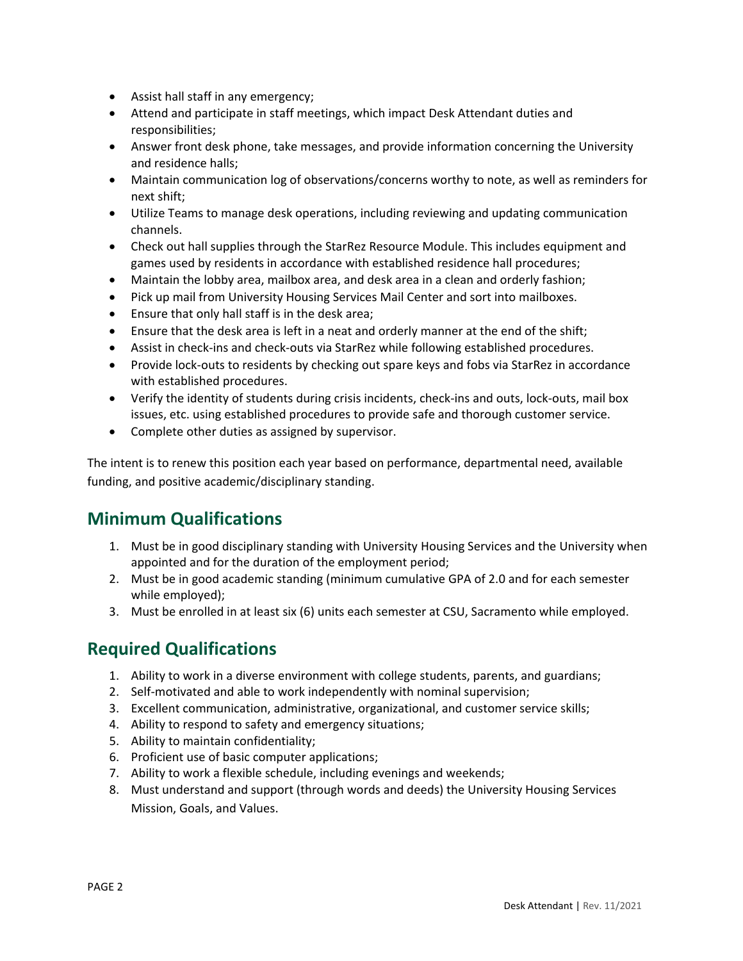- Assist hall staff in any emergency;
- Attend and participate in staff meetings, which impact Desk Attendant duties and responsibilities;
- Answer front desk phone, take messages, and provide information concerning the University and residence halls;
- Maintain communication log of observations/concerns worthy to note, as well as reminders for next shift;
- Utilize Teams to manage desk operations, including reviewing and updating communication channels.
- Check out hall supplies through the StarRez Resource Module. This includes equipment and games used by residents in accordance with established residence hall procedures;
- Maintain the lobby area, mailbox area, and desk area in a clean and orderly fashion;
- Pick up mail from University Housing Services Mail Center and sort into mailboxes.
- Ensure that only hall staff is in the desk area;
- Ensure that the desk area is left in a neat and orderly manner at the end of the shift;
- Assist in check-ins and check-outs via StarRez while following established procedures.
- Provide lock-outs to residents by checking out spare keys and fobs via StarRez in accordance with established procedures.
- Verify the identity of students during crisis incidents, check-ins and outs, lock-outs, mail box issues, etc. using established procedures to provide safe and thorough customer service.
- Complete other duties as assigned by supervisor.

The intent is to renew this position each year based on performance, departmental need, available funding, and positive academic/disciplinary standing.

## **Minimum Qualifications**

- 1. Must be in good disciplinary standing with University Housing Services and the University when appointed and for the duration of the employment period;
- 2. Must be in good academic standing (minimum cumulative GPA of 2.0 and for each semester while employed);
- 3. Must be enrolled in at least six (6) units each semester at CSU, Sacramento while employed.

#### **Required Qualifications**

- 1. Ability to work in a diverse environment with college students, parents, and guardians;
- 2. Self-motivated and able to work independently with nominal supervision;
- 3. Excellent communication, administrative, organizational, and customer service skills;
- 4. Ability to respond to safety and emergency situations;
- 5. Ability to maintain confidentiality;
- 6. Proficient use of basic computer applications;
- 7. Ability to work a flexible schedule, including evenings and weekends;
- 8. Must understand and support (through words and deeds) the University Housing Services Mission, Goals, and Values.